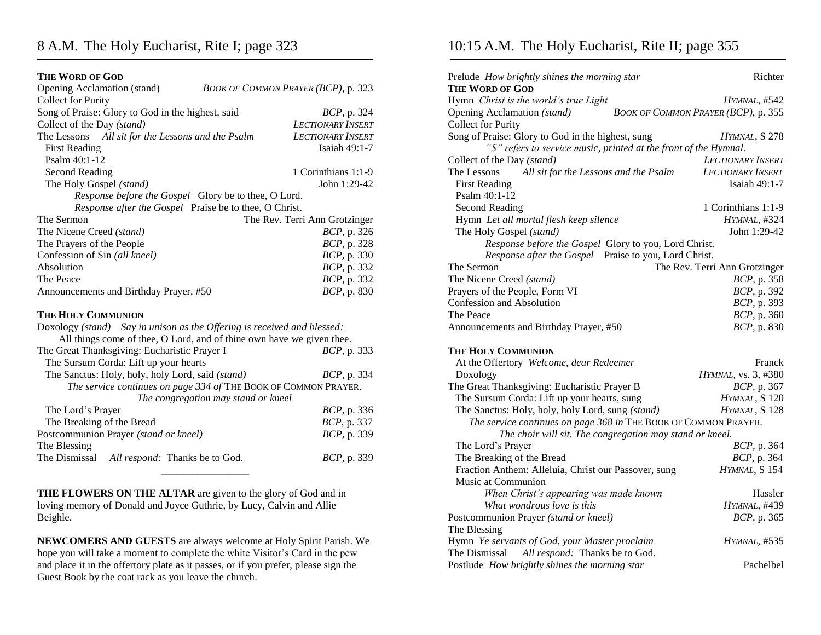## **THE WORD OF GOD**

| Opening Acclamation (stand)<br><b>Collect for Purity</b>                | BOOK OF COMMON PRAYER (BCP), p. 323                             |  |  |
|-------------------------------------------------------------------------|-----------------------------------------------------------------|--|--|
| Song of Praise: Glory to God in the highest, said                       | <i>BCP</i> , p. 324                                             |  |  |
| Collect of the Day (stand)                                              | <b>LECTIONARY INSERT</b>                                        |  |  |
| The Lessons All sit for the Lessons and the Psalm                       | <b>LECTIONARY INSERT</b>                                        |  |  |
| <b>First Reading</b>                                                    | Isaiah $49:1-7$                                                 |  |  |
| Psalm 40:1-12                                                           |                                                                 |  |  |
| Second Reading                                                          | 1 Corinthians 1:1-9                                             |  |  |
| The Holy Gospel (stand)                                                 | John 1:29-42                                                    |  |  |
| Response before the Gospel Glory be to thee, O Lord.                    |                                                                 |  |  |
| Response after the Gospel Praise be to thee, O Christ.                  |                                                                 |  |  |
| The Sermon                                                              | The Rev. Terri Ann Grotzinger                                   |  |  |
| The Nicene Creed (stand)                                                | BCP, p. 326                                                     |  |  |
| The Prayers of the People                                               | BCP, p. 328                                                     |  |  |
| Confession of Sin (all kneel)                                           | BCP, p. 330                                                     |  |  |
| Absolution                                                              | BCP, p. 332                                                     |  |  |
| The Peace                                                               | BCP, p. 332                                                     |  |  |
| Announcements and Birthday Prayer, #50                                  | BCP, p. 830                                                     |  |  |
| <b>THE HOLY COMMUNION</b>                                               |                                                                 |  |  |
| Doxology (stand) Say in unison as the Offering is received and blessed: |                                                                 |  |  |
| All things come of thee, O Lord, and of thine own have we given thee.   |                                                                 |  |  |
| The Great Thanksgiving: Eucharistic Prayer I                            | <i>BCP</i> , p. 333                                             |  |  |
| The Sursum Corda: Lift up your hearts                                   |                                                                 |  |  |
| The Sanctus: Holy, holy, holy Lord, said (stand)                        | <i>BCP</i> , p. 334                                             |  |  |
|                                                                         | The service continues on page 334 of THE BOOK OF COMMON PRAYER. |  |  |
|                                                                         | The congregation may stand or kneel                             |  |  |
| The Lord's Prayer                                                       | <i>BCP</i> , p. 336                                             |  |  |
| The Breaking of the Bread                                               | BCP, p. 337                                                     |  |  |
| Postcommunion Prayer (stand or kneel)                                   | BCP, p. 339                                                     |  |  |
| The Blessing                                                            |                                                                 |  |  |
| The Dismissal<br>All respond: Thanks be to God.                         | <i>BCP</i> , p. 339                                             |  |  |
|                                                                         |                                                                 |  |  |

**THE FLOWERS ON THE ALTAR** are given to the glory of God and in loving memory of Donald and Joyce Guthrie, by Lucy, Calvin and Allie Beighle.

**NEWCOMERS AND GUESTS** are always welcome at Holy Spirit Parish. We hope you will take a moment to complete the white Visitor's Card in the pew and place it in the offertory plate as it passes, or if you prefer, please sign the Guest Book by the coat rack as you leave the church.

## 10:15 A.M. The Holy Eucharist, Rite II; page 355

| Prelude How brightly shines the morning star<br><b>THE WORD OF GOD</b> | Richter                             |
|------------------------------------------------------------------------|-------------------------------------|
| Hymn Christ is the world's true Light                                  | HYMNAL, #542                        |
| Opening Acclamation (stand)                                            | BOOK OF COMMON PRAYER (BCP), p. 355 |
| <b>Collect for Purity</b>                                              |                                     |
| Song of Praise: Glory to God in the highest, sung                      | HYMNAL, S 278                       |
| "S" refers to service music, printed at the front of the Hymnal.       |                                     |
| Collect of the Day (stand)                                             | <b>LECTIONARY INSERT</b>            |
| The Lessons<br>All sit for the Lessons and the Psalm                   | <b>LECTIONARY INSERT</b>            |
| <b>First Reading</b>                                                   | Isaiah $49:1-7$                     |
| Psalm 40:1-12                                                          |                                     |
| <b>Second Reading</b>                                                  | 1 Corinthians 1:1-9                 |
| Hymn Let all mortal flesh keep silence                                 | HYMNAL, #324                        |
| The Holy Gospel (stand)                                                | John 1:29-42                        |
| Response before the Gospel Glory to you, Lord Christ.                  |                                     |
| Response after the Gospel Praise to you, Lord Christ.                  |                                     |
| The Sermon                                                             | The Rev. Terri Ann Grotzinger       |
| The Nicene Creed (stand)                                               | BCP, p. 358                         |
| Prayers of the People, Form VI                                         | <i>BCP</i> , p. 392                 |
| Confession and Absolution                                              | BCP, p. 393                         |
| The Peace                                                              | BCP, p. 360                         |
| Announcements and Birthday Prayer, #50                                 | <i>BCP</i> , p. 830                 |
| THE HOLY COMMUNION                                                     |                                     |
| At the Offertory Welcome, dear Redeemer                                | Franck                              |
| Doxology                                                               | HYMNAL, vs. 3, #380                 |
| The Great Thanksgiving: Eucharistic Prayer B                           | <i>BCP</i> , p. 367                 |
| The Sursum Corda: Lift up your hearts, sung                            | HYMNAL, S 120                       |
| The Sanctus: Holy, holy, holy Lord, sung (stand)                       | HYMNAL, S 128                       |
| The service continues on page 368 in THE BOOK OF COMMON PRAYER.        |                                     |
| The choir will sit. The congregation may stand or kneel.               |                                     |
| The Lord's Prayer                                                      | <i>BCP</i> , p. 364                 |
| The Breaking of the Bread                                              | <i>BCP</i> , p. 364                 |
| Fraction Anthem: Alleluia, Christ our Passover, sung                   | HYMNAL, S 154                       |
| Music at Communion                                                     |                                     |
| When Christ's appearing was made known                                 | Hassler                             |
| What wondrous love is this                                             | HYMNAL, #439                        |
| Postcommunion Prayer (stand or kneel)                                  | BCP, p. 365                         |
| The Blessing                                                           |                                     |
| Hymn Ye servants of God, your Master proclaim                          | <i>HYMNAL</i> , #535                |
| All respond: Thanks be to God.<br>The Dismissal                        |                                     |
| Postlude How brightly shines the morning star                          | Pachelbel                           |